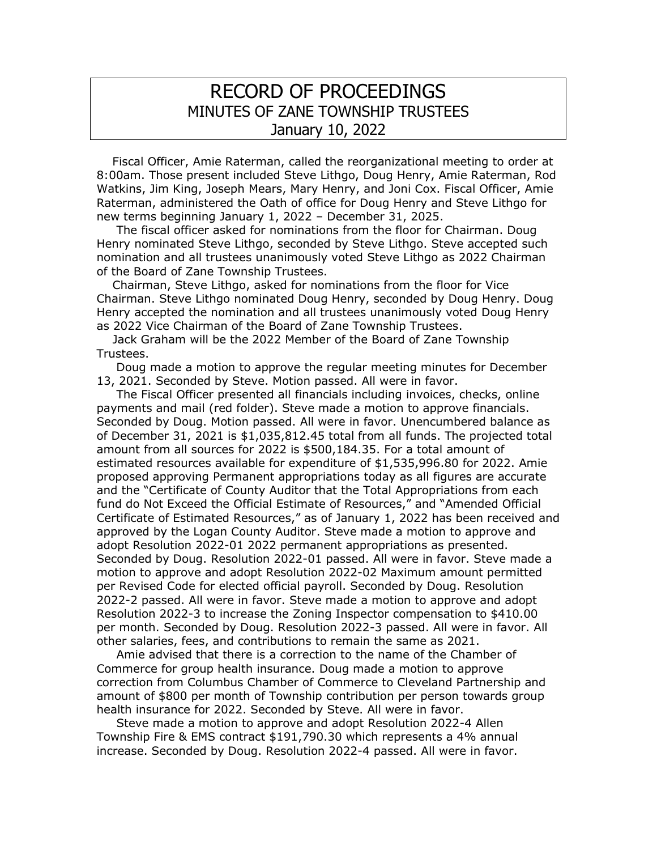## RECORD OF PROCEEDINGS MINUTES OF ZANE TOWNSHIP TRUSTEES January 10, 2022

 Fiscal Officer, Amie Raterman, called the reorganizational meeting to order at 8:00am. Those present included Steve Lithgo, Doug Henry, Amie Raterman, Rod Watkins, Jim King, Joseph Mears, Mary Henry, and Joni Cox. Fiscal Officer, Amie Raterman, administered the Oath of office for Doug Henry and Steve Lithgo for new terms beginning January 1, 2022 – December 31, 2025.

 The fiscal officer asked for nominations from the floor for Chairman. Doug Henry nominated Steve Lithgo, seconded by Steve Lithgo. Steve accepted such nomination and all trustees unanimously voted Steve Lithgo as 2022 Chairman of the Board of Zane Township Trustees.

 Chairman, Steve Lithgo, asked for nominations from the floor for Vice Chairman. Steve Lithgo nominated Doug Henry, seconded by Doug Henry. Doug Henry accepted the nomination and all trustees unanimously voted Doug Henry as 2022 Vice Chairman of the Board of Zane Township Trustees.

 Jack Graham will be the 2022 Member of the Board of Zane Township Trustees.

 Doug made a motion to approve the regular meeting minutes for December 13, 2021. Seconded by Steve. Motion passed. All were in favor.

 The Fiscal Officer presented all financials including invoices, checks, online payments and mail (red folder). Steve made a motion to approve financials. Seconded by Doug. Motion passed. All were in favor. Unencumbered balance as of December 31, 2021 is \$1,035,812.45 total from all funds. The projected total amount from all sources for 2022 is \$500,184.35. For a total amount of estimated resources available for expenditure of \$1,535,996.80 for 2022. Amie proposed approving Permanent appropriations today as all figures are accurate and the "Certificate of County Auditor that the Total Appropriations from each fund do Not Exceed the Official Estimate of Resources," and "Amended Official Certificate of Estimated Resources," as of January 1, 2022 has been received and approved by the Logan County Auditor. Steve made a motion to approve and adopt Resolution 2022-01 2022 permanent appropriations as presented. Seconded by Doug. Resolution 2022-01 passed. All were in favor. Steve made a motion to approve and adopt Resolution 2022-02 Maximum amount permitted per Revised Code for elected official payroll. Seconded by Doug. Resolution 2022-2 passed. All were in favor. Steve made a motion to approve and adopt Resolution 2022-3 to increase the Zoning Inspector compensation to \$410.00 per month. Seconded by Doug. Resolution 2022-3 passed. All were in favor. All other salaries, fees, and contributions to remain the same as 2021.

 Amie advised that there is a correction to the name of the Chamber of Commerce for group health insurance. Doug made a motion to approve correction from Columbus Chamber of Commerce to Cleveland Partnership and amount of \$800 per month of Township contribution per person towards group health insurance for 2022. Seconded by Steve. All were in favor.

 Steve made a motion to approve and adopt Resolution 2022-4 Allen Township Fire & EMS contract \$191,790.30 which represents a 4% annual increase. Seconded by Doug. Resolution 2022-4 passed. All were in favor.